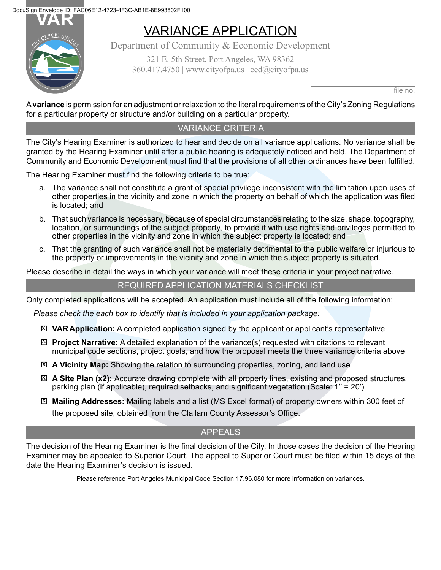**DocuSign Envelope ID: FAC06E12-4723-4F3C-AB1E-8E993802F100<br>
VAR
VARIANI** 

## VARIANCE APPLICATION

Department of Community & Economic Development 321 E. 5th Street, Port Angeles, WA 98362  $360.417.4750$  | www.cityofpa.us | ced $@$ cityofpa.us

file no.

A **variance** is permission for an adjustment or relaxation to the literal requirements of the City's Zoning Regulations for a particular property or structure and/or building on a particular property.

### VARIANCE CRITERIA

The City's Hearing Examiner is authorized to hear and decide on all variance applications. No variance shall be granted by the Hearing Examiner until after a public hearing is adequately noticed and held. The Department of Community and Economic Development must find that the provisions of all other ordinances have been fulfilled.

The Hearing Examiner must find the following criteria to be true:

- a. The variance shall not constitute a grant of special privilege inconsistent with the limitation upon uses of other properties in the vicinity and zone in which the property on behalf of which the application was filed is located; and
- b. That such variance is necessary, because of special circumstances relating to the size, shape, topography, location, or surroundings of the subject property, to provide it with use rights and privileges permitted to other properties in the vicinity and zone in which the subject property is located; and
- c. That the granting of such variance shall not be materially detrimental to the public welfare or injurious to the property or improvements in the vicinity and zone in which the subject property is situated.

Please describe in detail the ways in which your variance will meet these criteria in your project narrative.

#### REQUIRED APPLICATION MATERIALS CHECKLIST

Only completed applications will be accepted. An application must include all of the following information:

*Please check the each box to identify that is included in your application package:*

- **VARApplication:** A completed application signed by the applicant or applicant's representative X
- **Project Narrative:** A detailed explanation of the variance(s) requested with citations to relevant X municipal code sections, project goals, and how the proposal meets the three variance criteria above
- **A Vicinity Map:** Showing the relation to surrounding properties, zoning, and land use X
- **A Site Plan (x2):** Accurate drawing complete with all property lines, existing and proposed structures, X parking plan (if applicable), required setbacks, and significant vegetation (Scale: 1'' = 20')
- **Mailing Addresses:** Mailing labels and a list (MS Excel format) of property owners within 300 feet of X the proposed site, obtained from the Clallam County Assessor's Office.

#### APPEALS

The decision of the Hearing Examiner is the final decision of the City. In those cases the decision of the Hearing Examiner may be appealed to Superior Court. The appeal to Superior Court must be filed within 15 days of the date the Hearing Examiner's decision is issued.

Please reference Port Angeles Municipal Code Section 17.96.080 for more information on variances.